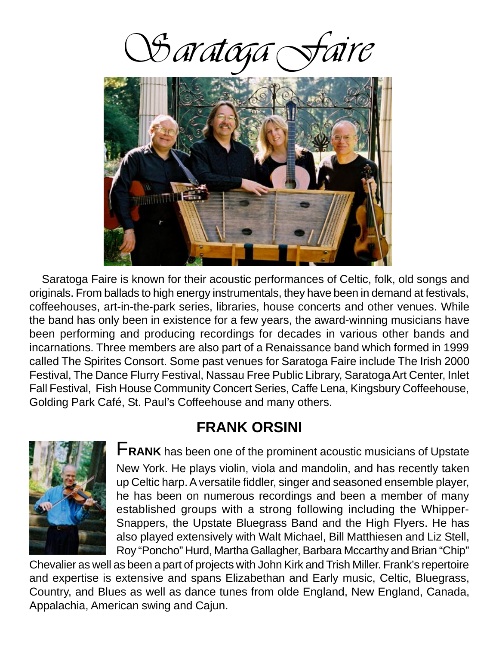Staratoga



 Saratoga Faire is known for their acoustic performances of Celtic, folk, old songs and originals. From ballads to high energy instrumentals, they have been in demand at festivals, coffeehouses, art-in-the-park series, libraries, house concerts and other venues. While the band has only been in existence for a few years, the award-winning musicians have been performing and producing recordings for decades in various other bands and incarnations. Three members are also part of a Renaissance band which formed in 1999 called The Spirites Consort. Some past venues for Saratoga Faire include The Irish 2000 Festival, The Dance Flurry Festival, Nassau Free Public Library, Saratoga Art Center, Inlet Fall Festival, Fish House Community Concert Series, Caffe Lena, Kingsbury Coffeehouse, Golding Park Café, St. Paul's Coffeehouse and many others.

#### **FRANK ORSINI**



F**RANK** has been one of the prominent acoustic musicians of Upstate New York. He plays violin, viola and mandolin, and has recently taken up Celtic harp. A versatile fiddler, singer and seasoned ensemble player, he has been on numerous recordings and been a member of many established groups with a strong following including the Whipper-Snappers, the Upstate Bluegrass Band and the High Flyers. He has also played extensively with Walt Michael, Bill Matthiesen and Liz Stell, Roy "Poncho" Hurd, Martha Gallagher, Barbara Mccarthy and Brian "Chip"

Chevalier as well as been a part of projects with John Kirk and Trish Miller. Frank's repertoire and expertise is extensive and spans Elizabethan and Early music, Celtic, Bluegrass, Country, and Blues as well as dance tunes from olde England, New England, Canada, Appalachia, American swing and Cajun.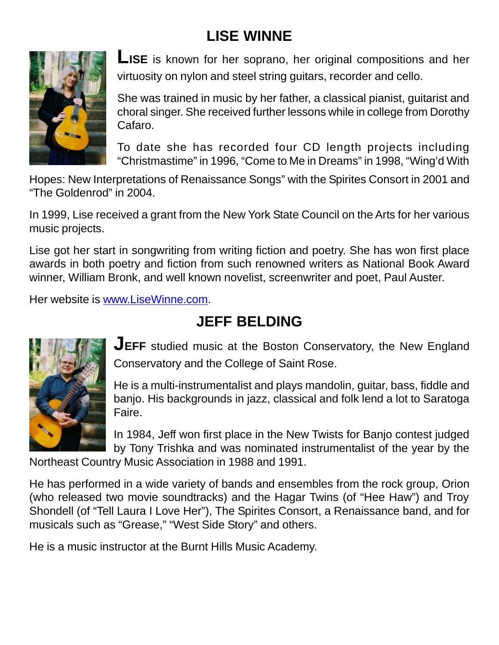## **LISE WINNE**



**LISE** is known for her soprano, her original compositions and her virtuosity on nylon and steel string guitars, recorder and cello.

She was trained in music by her father, a classical pianist, guitarist and choral singer. She received further lessons while in college from Dorothy Cafaro.

To date she has recorded four CD length projects including "Christmastime" in 1996, "Come to Me in Dreams" in 1998, "Wing'd With

Hopes: New Interpretations of Renaissance Songs" with the Spirites Consort in 2001 and "The Goldenrod" in 2004.

In 1999, Lise received a grant from the New York State Council on the Arts for her various music projects.

Lise got her start in songwriting from writing fiction and poetry. She has won first place awards in both poetry and fiction from such renowned writers as National Book Award winner, William Bronk, and well known novelist, screenwriter and poet, Paul Auster.

Her website is www.LiseWinne.com.

## **JEFF BELDING**



**JEFF** studied music at the Boston Conservatory, the New England Conservatory and the College of Saint Rose.

He is a multi-instrumentalist and plays mandolin, guitar, bass, fiddle and banjo. His backgrounds in jazz, classical and folk lend a lot to Saratoga Faire.

In 1984, Jeff won first place in the New Twists for Banjo contest judged by Tony Trishka and was nominated instrumentalist of the year by the

Northeast Country Music Association in 1988 and 1991.

He has performed in a wide variety of bands and ensembles from the rock group, Orion (who released two movie soundtracks) and the Hagar Twins (of "Hee Haw") and Troy Shondell (of "Tell Laura I Love Her"), The Spirites Consort, a Renaissance band, and for musicals such as "Grease," "West Side Story" and others.

He is a music instructor at the Burnt Hills Music Academy.